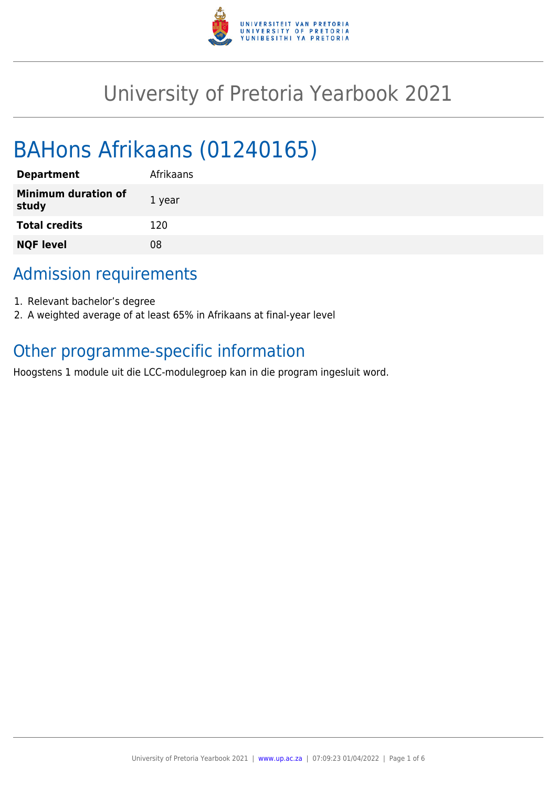

# University of Pretoria Yearbook 2021

# BAHons Afrikaans (01240165)

| <b>Department</b>                   | Afrikaans |
|-------------------------------------|-----------|
| <b>Minimum duration of</b><br>study | 1 year    |
| <b>Total credits</b>                | 120       |
| <b>NQF level</b>                    | 08        |

# Admission requirements

- 1. Relevant bachelor's degree
- 2. A weighted average of at least 65% in Afrikaans at final-year level

# Other programme-specific information

Hoogstens 1 module uit die LCC-modulegroep kan in die program ingesluit word.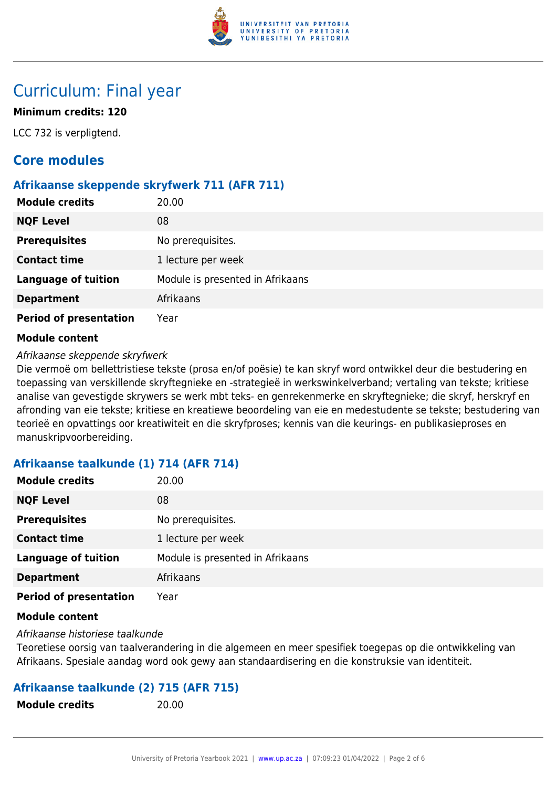

# Curriculum: Final year

# **Minimum credits: 120**

LCC 732 is verpligtend.

# **Core modules**

### **Afrikaanse skeppende skryfwerk 711 (AFR 711)**

| <b>Module credits</b>         | 20.00                            |
|-------------------------------|----------------------------------|
| <b>NQF Level</b>              | 08                               |
| <b>Prerequisites</b>          | No prerequisites.                |
| <b>Contact time</b>           | 1 lecture per week               |
| <b>Language of tuition</b>    | Module is presented in Afrikaans |
| <b>Department</b>             | Afrikaans                        |
| <b>Period of presentation</b> | Year                             |

#### **Module content**

#### Afrikaanse skeppende skryfwerk

Die vermoë om bellettristiese tekste (prosa en/of poësie) te kan skryf word ontwikkel deur die bestudering en toepassing van verskillende skryftegnieke en -strategieë in werkswinkelverband; vertaling van tekste; kritiese analise van gevestigde skrywers se werk mbt teks- en genrekenmerke en skryftegnieke; die skryf, herskryf en afronding van eie tekste; kritiese en kreatiewe beoordeling van eie en medestudente se tekste; bestudering van teorieë en opvattings oor kreatiwiteit en die skryfproses; kennis van die keurings- en publikasieproses en manuskripvoorbereiding.

# **Afrikaanse taalkunde (1) 714 (AFR 714)**

| <b>Module credits</b>         | 20.00                            |
|-------------------------------|----------------------------------|
| <b>NQF Level</b>              | 08                               |
| <b>Prerequisites</b>          | No prerequisites.                |
| <b>Contact time</b>           | 1 lecture per week               |
| <b>Language of tuition</b>    | Module is presented in Afrikaans |
| <b>Department</b>             | Afrikaans                        |
| <b>Period of presentation</b> | Year                             |

#### **Module content**

Afrikaanse historiese taalkunde

Teoretiese oorsig van taalverandering in die algemeen en meer spesifiek toegepas op die ontwikkeling van Afrikaans. Spesiale aandag word ook gewy aan standaardisering en die konstruksie van identiteit.

# **Afrikaanse taalkunde (2) 715 (AFR 715)**

| <b>Module credits</b> | 20.00 |
|-----------------------|-------|
|-----------------------|-------|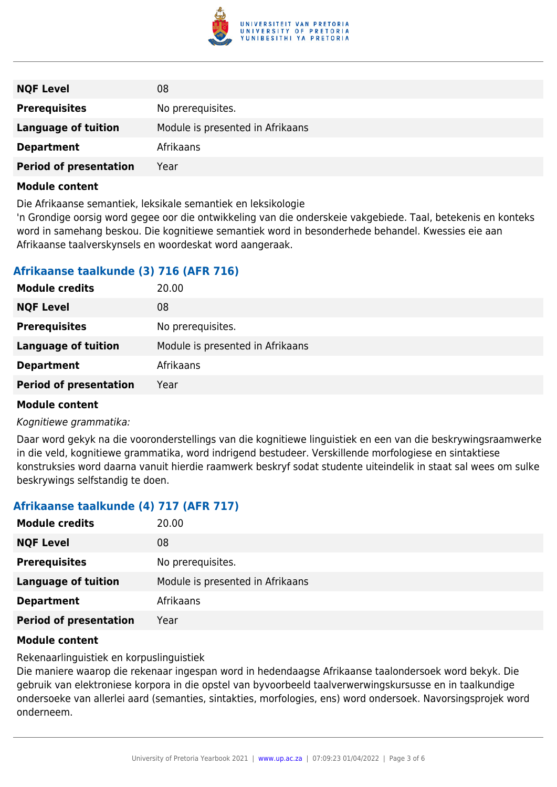

| <b>NQF Level</b>              | 08                               |
|-------------------------------|----------------------------------|
| <b>Prerequisites</b>          | No prerequisites.                |
| <b>Language of tuition</b>    | Module is presented in Afrikaans |
| <b>Department</b>             | Afrikaans                        |
| <b>Period of presentation</b> | Year                             |

#### **Module content**

Die Afrikaanse semantiek, leksikale semantiek en leksikologie

'n Grondige oorsig word gegee oor die ontwikkeling van die onderskeie vakgebiede. Taal, betekenis en konteks word in samehang beskou. Die kognitiewe semantiek word in besonderhede behandel. Kwessies eie aan Afrikaanse taalverskynsels en woordeskat word aangeraak.

# **Afrikaanse taalkunde (3) 716 (AFR 716)**

| <b>NQF Level</b><br>08                                         |  |
|----------------------------------------------------------------|--|
| <b>Prerequisites</b><br>No prerequisites.                      |  |
| Module is presented in Afrikaans<br><b>Language of tuition</b> |  |
| Afrikaans<br><b>Department</b>                                 |  |
| <b>Period of presentation</b><br>Year                          |  |

#### **Module content**

Kognitiewe grammatika:

Daar word gekyk na die vooronderstellings van die kognitiewe linguistiek en een van die beskrywingsraamwerke in die veld, kognitiewe grammatika, word indrigend bestudeer. Verskillende morfologiese en sintaktiese konstruksies word daarna vanuit hierdie raamwerk beskryf sodat studente uiteindelik in staat sal wees om sulke beskrywings selfstandig te doen.

# **Afrikaanse taalkunde (4) 717 (AFR 717)**

| <b>Module credits</b>         | 20.00                            |
|-------------------------------|----------------------------------|
| <b>NQF Level</b>              | 08                               |
| <b>Prerequisites</b>          | No prerequisites.                |
| <b>Language of tuition</b>    | Module is presented in Afrikaans |
| <b>Department</b>             | Afrikaans                        |
| <b>Period of presentation</b> | Year                             |

#### **Module content**

Rekenaarlinguistiek en korpuslinguistiek

Die maniere waarop die rekenaar ingespan word in hedendaagse Afrikaanse taalondersoek word bekyk. Die gebruik van elektroniese korpora in die opstel van byvoorbeeld taalverwerwingskursusse en in taalkundige ondersoeke van allerlei aard (semanties, sintakties, morfologies, ens) word ondersoek. Navorsingsprojek word onderneem.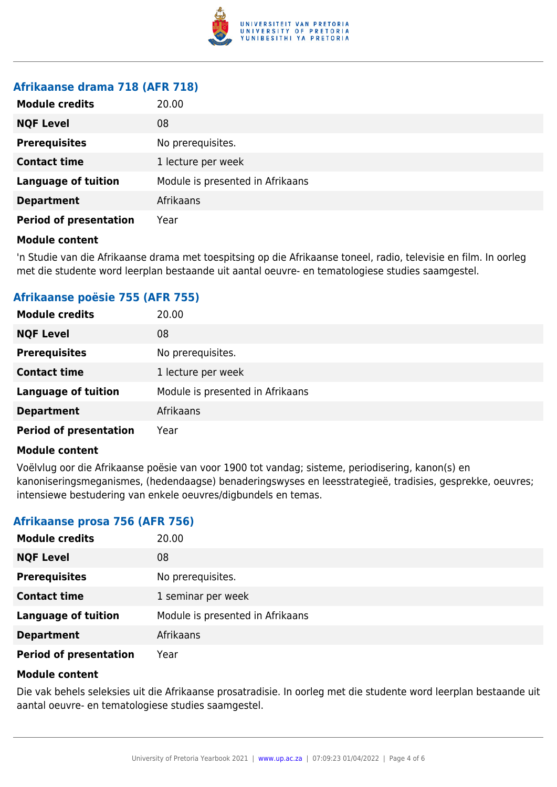

#### **Afrikaanse drama 718 (AFR 718)**

| <b>Module credits</b>         | 20.00                            |
|-------------------------------|----------------------------------|
| <b>NQF Level</b>              | 08                               |
| <b>Prerequisites</b>          | No prerequisites.                |
| <b>Contact time</b>           | 1 lecture per week               |
| <b>Language of tuition</b>    | Module is presented in Afrikaans |
| <b>Department</b>             | Afrikaans                        |
| <b>Period of presentation</b> | Year                             |

#### **Module content**

'n Studie van die Afrikaanse drama met toespitsing op die Afrikaanse toneel, radio, televisie en film. In oorleg met die studente word leerplan bestaande uit aantal oeuvre- en tematologiese studies saamgestel.

# **Afrikaanse poësie 755 (AFR 755)**

| <b>Module credits</b>         | 20.00                            |
|-------------------------------|----------------------------------|
| <b>NQF Level</b>              | 08                               |
| <b>Prerequisites</b>          | No prerequisites.                |
| <b>Contact time</b>           | 1 lecture per week               |
| <b>Language of tuition</b>    | Module is presented in Afrikaans |
| <b>Department</b>             | Afrikaans                        |
| <b>Period of presentation</b> | Year                             |

#### **Module content**

Voëlvlug oor die Afrikaanse poësie van voor 1900 tot vandag; sisteme, periodisering, kanon(s) en kanoniseringsmeganismes, (hedendaagse) benaderingswyses en leesstrategieë, tradisies, gesprekke, oeuvres; intensiewe bestudering van enkele oeuvres/digbundels en temas.

# **Afrikaanse prosa 756 (AFR 756)**

| <b>Module credits</b>         | 20.00                            |
|-------------------------------|----------------------------------|
| <b>NQF Level</b>              | 08                               |
| <b>Prerequisites</b>          | No prerequisites.                |
| <b>Contact time</b>           | 1 seminar per week               |
| <b>Language of tuition</b>    | Module is presented in Afrikaans |
| <b>Department</b>             | Afrikaans                        |
| <b>Period of presentation</b> | Year                             |

#### **Module content**

Die vak behels seleksies uit die Afrikaanse prosatradisie. In oorleg met die studente word leerplan bestaande uit aantal oeuvre- en tematologiese studies saamgestel.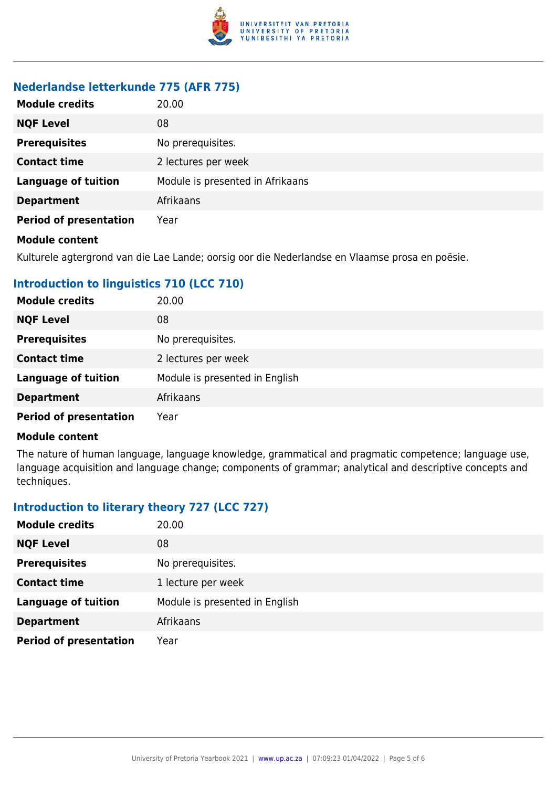

### **Nederlandse letterkunde 775 (AFR 775)**

| <b>Module credits</b>         | 20.00                            |
|-------------------------------|----------------------------------|
| <b>NQF Level</b>              | 08                               |
| <b>Prerequisites</b>          | No prerequisites.                |
| <b>Contact time</b>           | 2 lectures per week              |
| <b>Language of tuition</b>    | Module is presented in Afrikaans |
| <b>Department</b>             | Afrikaans                        |
| <b>Period of presentation</b> | Year                             |
| <b>Module content</b>         |                                  |

Kulturele agtergrond van die Lae Lande; oorsig oor die Nederlandse en Vlaamse prosa en poësie.

# **Introduction to linguistics 710 (LCC 710)**

| <b>Module credits</b>         | 20.00                          |
|-------------------------------|--------------------------------|
| <b>NQF Level</b>              | 08                             |
| <b>Prerequisites</b>          | No prerequisites.              |
| <b>Contact time</b>           | 2 lectures per week            |
| <b>Language of tuition</b>    | Module is presented in English |
| <b>Department</b>             | Afrikaans                      |
| <b>Period of presentation</b> | Year                           |

#### **Module content**

The nature of human language, language knowledge, grammatical and pragmatic competence; language use, language acquisition and language change; components of grammar; analytical and descriptive concepts and techniques.

# **Introduction to literary theory 727 (LCC 727)**

| <b>Module credits</b>         | 20.00                          |
|-------------------------------|--------------------------------|
| <b>NQF Level</b>              | 08                             |
| <b>Prerequisites</b>          | No prerequisites.              |
| <b>Contact time</b>           | 1 lecture per week             |
| <b>Language of tuition</b>    | Module is presented in English |
| <b>Department</b>             | Afrikaans                      |
| <b>Period of presentation</b> | Year                           |